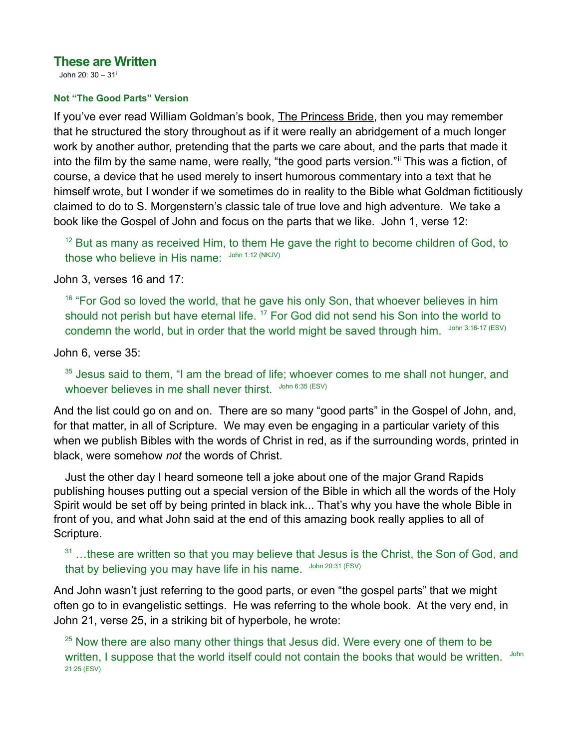# **These are Written**

<span id="page-0-0"></span>John 20: 30 – 31[i](#page-4-0)

### **Not "The Good Parts" Version**

If you've ever read William Goldman's book, The Princess Bride, then you may remember that he structured the story throughout as if it were really an abridgement of a much longer work by another author, pretending that the parts we care about, and the parts that made it into the film by the same name, were really, "the good parts version." This was a fiction, of course, a device that he used merely to insert humorous commentary into a text that he himself wrote, but I wonder if we sometimes do in reality to the Bible what Goldman fictitiously claimed to do to S. Morgenstern's classic tale of true love and high adventure. We take a book like the Gospel of John and focus on the parts that we like. John 1, verse 12:

<span id="page-0-1"></span> $12$  But as many as received Him, to them He gave the right to become children of God, to those who believe in His name: John 1:12 (NKJV)

John 3, verses 16 and 17:

 $16$  "For God so loved the world, that he gave his only Son, that whoever believes in him should not perish but have eternal life. <sup>17</sup> For God did not send his Son into the world to condemn the world, but in order that the world might be saved through him. John 3:16-17 (ESV)

John 6, verse 35:

 $35$  Jesus said to them, "I am the bread of life; whoever comes to me shall not hunger, and whoever believes in me shall never thirst. John 6:35 (ESV)

And the list could go on and on. There are so many "good parts" in the Gospel of John, and, for that matter, in all of Scripture. We may even be engaging in a particular variety of this when we publish Bibles with the words of Christ in red, as if the surrounding words, printed in black, were somehow *not* the words of Christ.

Just the other day I heard someone tell a joke about one of the major Grand Rapids publishing houses putting out a special version of the Bible in which all the words of the Holy Spirit would be set off by being printed in black ink... That's why you have the whole Bible in front of you, and what John said at the end of this amazing book really applies to all of Scripture.

 $31$  ...these are written so that you may believe that Jesus is the Christ, the Son of God, and that by believing you may have life in his name. John 20:31 (ESV)

And John wasn't just referring to the good parts, or even "the gospel parts" that we might often go to in evangelistic settings. He was referring to the whole book. At the very end, in John 21, verse 25, in a striking bit of hyperbole, he wrote:

 $25$  Now there are also many other things that Jesus did. Were every one of them to be written, I suppose that the world itself could not contain the books that would be written. John 21:25 (ESV)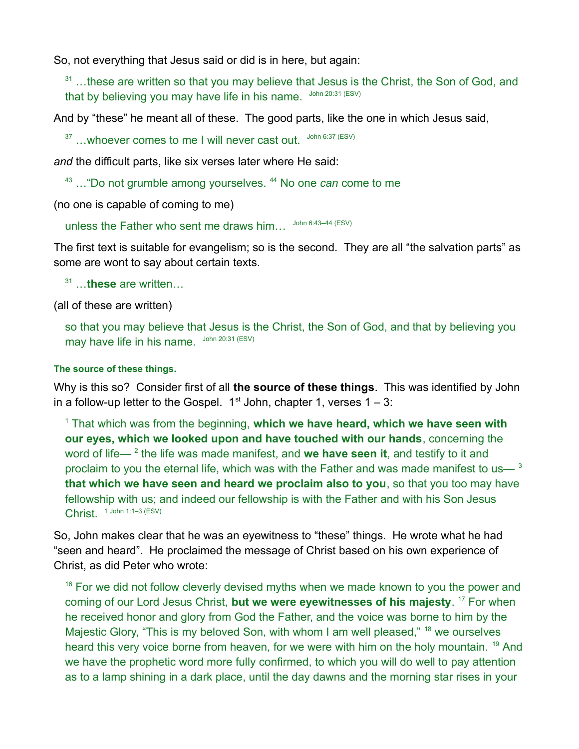So, not everything that Jesus said or did is in here, but again:

 $31$  ...these are written so that you may believe that Jesus is the Christ, the Son of God, and that by believing you may have life in his name. John 20:31 (ESV)

And by "these" he meant all of these. The good parts, like the one in which Jesus said,

 $37$  ... whoever comes to me I will never cast out.  $300 \text{ m}$  6:37 (ESV)

*and* the difficult parts, like six verses later where He said:

<sup>43</sup> ... "Do not grumble among yourselves. <sup>44</sup> No one *can* come to me

(no one is capable of coming to me)

unless the Father who sent me draws him... John 6:43-44 (ESV)

The first text is suitable for evangelism; so is the second. They are all "the salvation parts" as some are wont to say about certain texts.

31 …**these** are written…

(all of these are written)

so that you may believe that Jesus is the Christ, the Son of God, and that by believing you may have life in his name. John 20:31 (ESV)

### **The source of these things.**

Why is this so? Consider first of all **the source of these things**. This was identified by John in a follow-up letter to the Gospel.  $1^{st}$  John, chapter 1, verses  $1 - 3$ :

<sup>1</sup> That which was from the beginning, **which we have heard, which we have seen with our eyes, which we looked upon and have touched with our hands**, concerning the word of life— <sup>2</sup> the life was made manifest, and **we have seen it**, and testify to it and proclaim to you the eternal life, which was with the Father and was made manifest to us—  $3$ **that which we have seen and heard we proclaim also to you**, so that you too may have fellowship with us; and indeed our fellowship is with the Father and with his Son Jesus Christ.  $1$  John 1:1–3 (ESV)

So, John makes clear that he was an eyewitness to "these" things. He wrote what he had "seen and heard". He proclaimed the message of Christ based on his own experience of Christ, as did Peter who wrote:

 $16$  For we did not follow cleverly devised myths when we made known to you the power and coming of our Lord Jesus Christ, **but we were eyewitnesses of his majesty**. <sup>17</sup> For when he received honor and glory from God the Father, and the voice was borne to him by the Majestic Glory, "This is my beloved Son, with whom I am well pleased," <sup>18</sup> we ourselves heard this very voice borne from heaven, for we were with him on the holy mountain. <sup>19</sup> And we have the prophetic word more fully confirmed, to which you will do well to pay attention as to a lamp shining in a dark place, until the day dawns and the morning star rises in your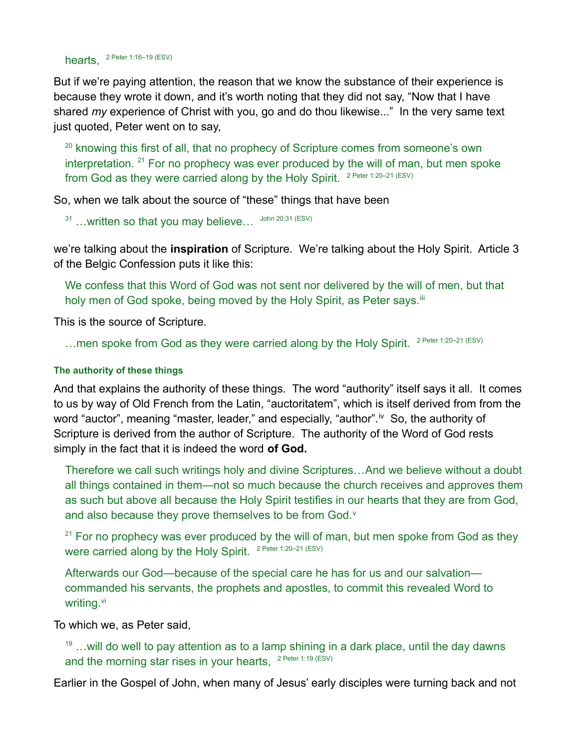hearts, <sup>2 Peter 1:16–19 (ESV)</sup>

But if we're paying attention, the reason that we know the substance of their experience is because they wrote it down, and it's worth noting that they did not say, "Now that I have shared *my* experience of Christ with you, go and do thou likewise..." In the very same text just quoted, Peter went on to say,

<sup>20</sup> knowing this first of all, that no prophecy of Scripture comes from someone's own interpretation.  $21$  For no prophecy was ever produced by the will of man, but men spoke from God as they were carried along by the Holy Spirit.  $2$  Peter 1:20-21 (ESV)

So, when we talk about the source of "these" things that have been

 $31$  ...written so that you may believe...  $31$  John 20:31 (ESV)

we're talking about the **inspiration** of Scripture. We're talking about the Holy Spirit. Article 3 of the Belgic Confession puts it like this:

<span id="page-2-0"></span>We confess that this Word of God was not sent nor delivered by the will of men, but that holy men of God spoke, being moved by the Holy Spirit, as Peter says.<sup>[iii](#page-4-2)</sup>

This is the source of Scripture.

... men spoke from God as they were carried along by the Holy Spirit. <sup>2 Peter 1:20-21 (ESV)</sup>

### **The authority of these things**

And that explains the authority of these things. The word "authority" itself says it all. It comes to us by way of Old French from the Latin, "auctoritatem", which is itself derived from from the word "auctor", meaning "master, leader," and especially, "author".<sup>[iv](#page-4-3)</sup> So, the authority of Scripture is derived from the author of Scripture. The authority of the Word of God rests simply in the fact that it is indeed the word **of God.**

<span id="page-2-1"></span>Therefore we call such writings holy and divine Scriptures…And we believe without a doubt all things contained in them—not so much because the church receives and approves them as such but above all because the Holy Spirit testifies in our hearts that they are from God, and also because they pro[v](#page-4-4)e themselves to be from God.<sup>v</sup>

<span id="page-2-2"></span> $21$  For no prophecy was ever produced by the will of man, but men spoke from God as they were carried along by the Holy Spirit. <sup>2 Peter 1:20-21 (ESV)</sup>

<span id="page-2-3"></span>Afterwards our God—because of the special care he has for us and our salvation commanded his servants, the prophets and apostles, to commit this revealed Word to writing.<sup>[vi](#page-4-5)</sup>

To which we, as Peter said,

 $19$  ... will do well to pay attention as to a lamp shining in a dark place, until the day dawns and the morning star rises in your hearts,  $2$  Peter 1:19 (ESV)

Earlier in the Gospel of John, when many of Jesus' early disciples were turning back and not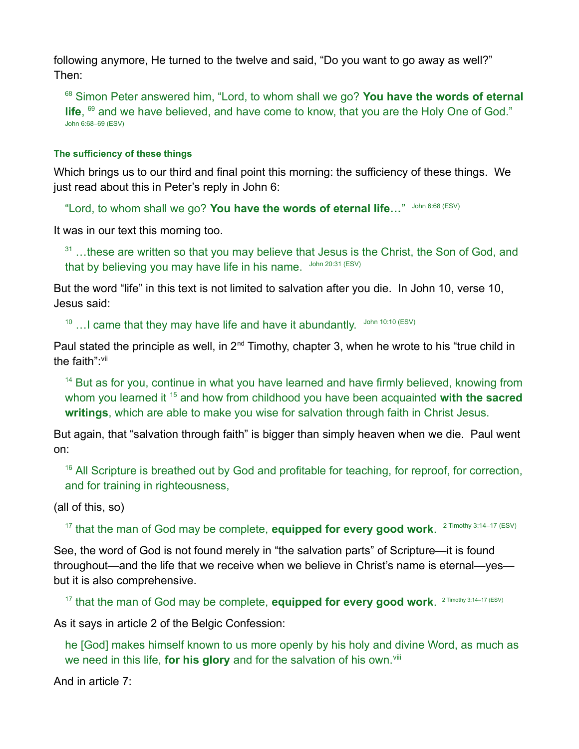following anymore, He turned to the twelve and said, "Do you want to go away as well?" Then:

<sup>68</sup> Simon Peter answered him, "Lord, to whom shall we go? **You have the words of eternal** life, <sup>69</sup> and we have believed, and have come to know, that you are the Holy One of God." John 6:68–69 (ESV)

## **The sufficiency of these things**

Which brings us to our third and final point this morning: the sufficiency of these things. We just read about this in Peter's reply in John 6:

"Lord, to whom shall we go? You have the words of eternal life..." John 6:68 (ESV)

It was in our text this morning too.

 $31$  ...these are written so that you may believe that Jesus is the Christ, the Son of God, and that by believing you may have life in his name. John 20:31 (ESV)

But the word "life" in this text is not limited to salvation after you die. In John 10, verse 10, Jesus said:

 $10$  ... I came that they may have life and have it abundantly.  $30\text{ m}$  10:10 (ESV)

Paul stated the principle as well, in  $2^{nd}$  Timothy, chapter 3, when he wrote to his "true child in the faith": Vii

<span id="page-3-0"></span> $14$  But as for you, continue in what you have learned and have firmly believed, knowing from whom you learned it <sup>15</sup> and how from childhood you have been acquainted **with the sacred writings**, which are able to make you wise for salvation through faith in Christ Jesus.

But again, that "salvation through faith" is bigger than simply heaven when we die. Paul went on:

 $16$  All Scripture is breathed out by God and profitable for teaching, for reproof, for correction, and for training in righteousness,

(all of this, so)

<sup>17</sup> that the man of God may be complete, **equipped for every good work**. <sup>2 Timothy 3:14–17 (ESV)</sup>

See, the word of God is not found merely in "the salvation parts" of Scripture—it is found throughout—and the life that we receive when we believe in Christ's name is eternal—yes but it is also comprehensive.

<sup>17</sup> that the man of God may be complete, **equipped for every good work**. <sup>2 Timothy 3:14-17 (ESV)</sup>

As it says in article 2 of the Belgic Confession:

<span id="page-3-1"></span>he [God] makes himself known to us more openly by his holy and divine Word, as much as we need in this life, **for his glory** and for the salvation of his own.<sup>[viii](#page-4-7)</sup>

And in article 7: